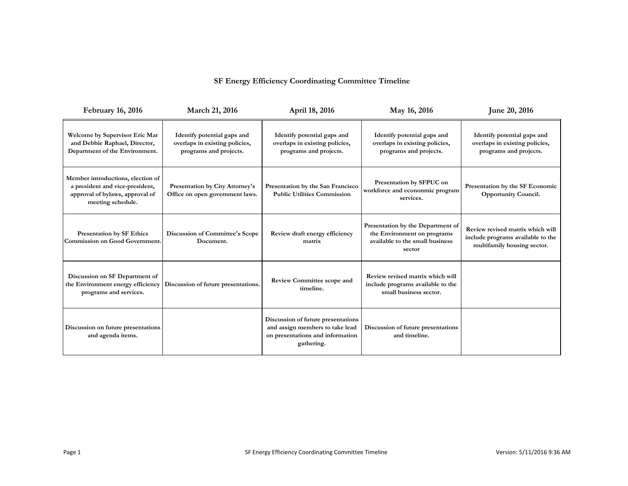## **SF Energy Efficiency Coordinating Committee Timeline**

| <b>February 16, 2016</b>                                                                                                     | March 21, 2016                                                                          | April 18, 2016                                                                                                          | May 16, 2016                                                                                                  | June 20, 2016                                                                                        |
|------------------------------------------------------------------------------------------------------------------------------|-----------------------------------------------------------------------------------------|-------------------------------------------------------------------------------------------------------------------------|---------------------------------------------------------------------------------------------------------------|------------------------------------------------------------------------------------------------------|
| Welcome by Supervisor Eric Mar<br>and Debbie Raphael, Director,<br>Department of the Environment.                            | Identify potential gaps and<br>overlaps in existing policies,<br>programs and projects. | Identify potential gaps and<br>overlaps in existing policies,<br>programs and projects.                                 | Identify potential gaps and<br>overlaps in existing policies,<br>programs and projects.                       | Identify potential gaps and<br>overlaps in existing policies,<br>programs and projects.              |
| Member introductions, election of<br>a president and vice-president,<br>approval of bylaws, approval of<br>meeting schedule. | Presentation by City Attorney's<br>Office on open government laws.                      | Presentation by the San Francisco<br><b>Public Utilities Commission</b>                                                 | Presentation by SFPUC on<br>workforce and econonmic program<br>services.                                      | Presentation by the SF Economic<br>Opportunity Council.                                              |
| Presentation by SF Ethics<br>Commission on Good Government.                                                                  | Discussion of Committee's Scope<br>Document.                                            | Review draft energy efficiency<br>matrix                                                                                | Presentation by the Department of<br>the Environment on programs<br>available to the small business<br>sector | Review revised matrix which will<br>include programs available to the<br>multifamily housing sector. |
| Discussion on SF Department of<br>the Environment energy efficiency<br>programs and services.                                | Discussion of future presentations.                                                     | Review Committee scope and<br>timeline.                                                                                 | Review revised matrix which will<br>include programs available to the<br>small business sector.               |                                                                                                      |
| Discussion on future presentations<br>and agenda items.                                                                      |                                                                                         | Discussion of future presentations<br>and assign members to take lead<br>on presentations and information<br>gathering. | Discussion of future presentations<br>and timeline.                                                           |                                                                                                      |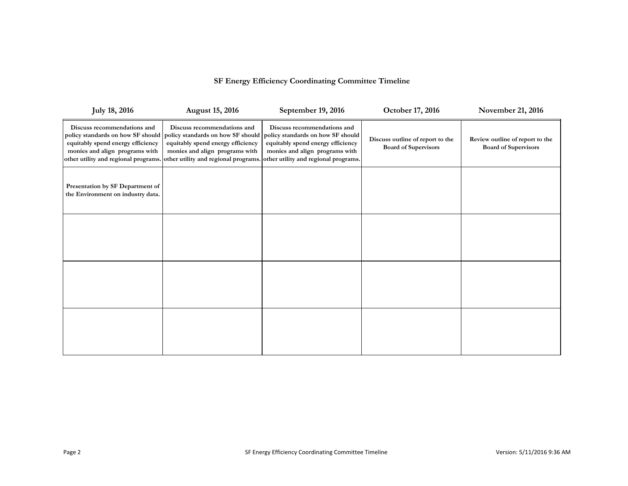## **SF Energy Efficiency Coordinating Committee Timeline**

| <b>July 18, 2016</b>                                                                                                                                                            | <b>August 15, 2016</b>                                                                                                                  | September 19, 2016                                                                                                                                                                                                   | October 17, 2016                                                | November 21, 2016                                              |
|---------------------------------------------------------------------------------------------------------------------------------------------------------------------------------|-----------------------------------------------------------------------------------------------------------------------------------------|----------------------------------------------------------------------------------------------------------------------------------------------------------------------------------------------------------------------|-----------------------------------------------------------------|----------------------------------------------------------------|
| Discuss recommendations and<br>policy standards on how SF should<br>equitably spend energy efficiency<br>monies and align programs with<br>other utility and regional programs. | Discuss recommendations and<br>policy standards on how SF should<br>equitably spend energy efficiency<br>monies and align programs with | Discuss recommendations and<br>policy standards on how SF should<br>equitably spend energy efficiency<br>monies and align programs with<br>other utility and regional programs. other utility and regional programs. | Discuss outline of report to the<br><b>Board of Supervisors</b> | Review outline of report to the<br><b>Board of Supervisors</b> |
| Presentation by SF Department of<br>the Environment on industry data.                                                                                                           |                                                                                                                                         |                                                                                                                                                                                                                      |                                                                 |                                                                |
|                                                                                                                                                                                 |                                                                                                                                         |                                                                                                                                                                                                                      |                                                                 |                                                                |
|                                                                                                                                                                                 |                                                                                                                                         |                                                                                                                                                                                                                      |                                                                 |                                                                |
|                                                                                                                                                                                 |                                                                                                                                         |                                                                                                                                                                                                                      |                                                                 |                                                                |